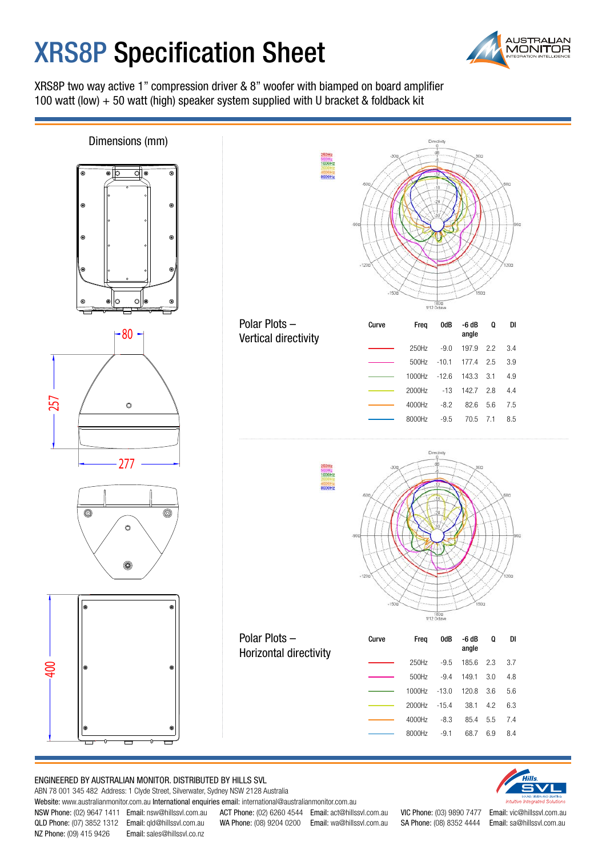## **XRS8P Specification Sheet**



XRS8P two way active 1" compression driver & 8" woofer with biamped on board amplifier 100 watt (low) + 50 watt (high) speaker system supplied with U bracket & foldback kit



## ENGINEERED BY AUSTRALIAN MONITOR. DISTRIBUTED BY HILLS SVL

ABN 78 001 345 482 Address: 1 Clyde Street, Silverwater, Sydney NSW 2128 Australia

Website: www.australianmonitor.com.au International enquiries email: international@australianmonitor.com.au

QLD Phone: (07) 3852 1312 Email: qld@hillssvl.com.au WA Phone: (08) 9204 0200 Email: wa@hillssvl.com.au SA Phone: (08) 8352 4444 Email: sa@hillssvl.com.au

NSW Phone: (02) 9647 1411 Email: nsw@hillssvl.com.au ACT Phone: (02) 6260 4544 Email: act@hillssvl.com.au VIC Phone: (03) 9890 7477 Email: vic@hillssvl.com.au